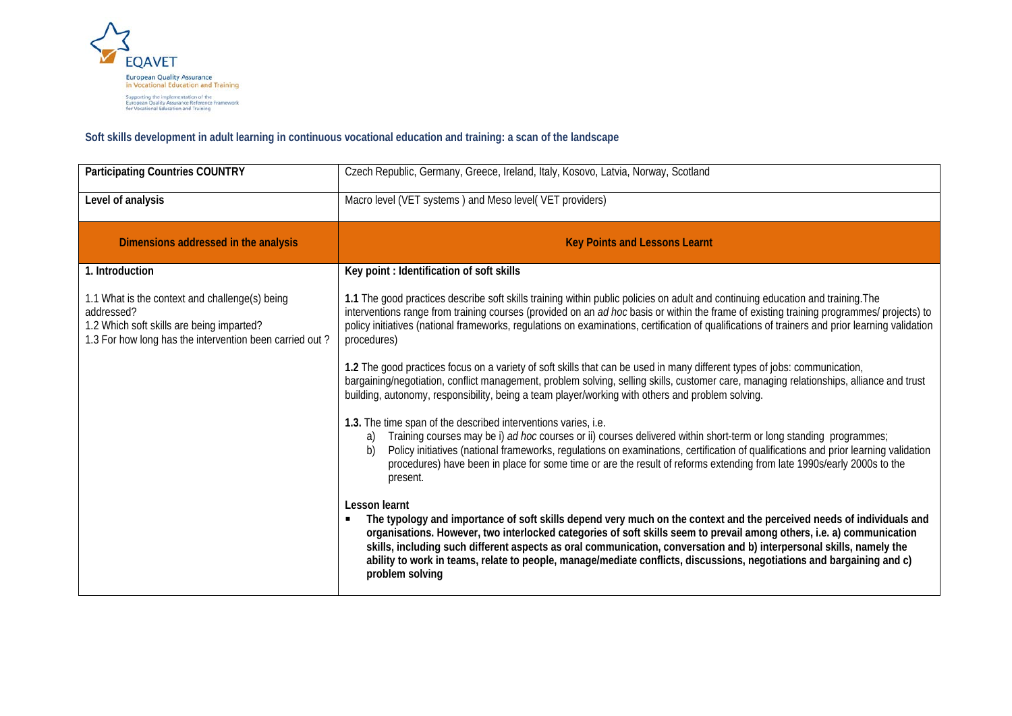

## **Soft skills development in adult learning in continuous vocational education and training: a scan of the landscape**

| <b>Participating Countries COUNTRY</b>                                                                                                                               | Czech Republic, Germany, Greece, Ireland, Italy, Kosovo, Latvia, Norway, Scotland                                                                                                                                                                                                                                                                                                                                                                                                                                                   |
|----------------------------------------------------------------------------------------------------------------------------------------------------------------------|-------------------------------------------------------------------------------------------------------------------------------------------------------------------------------------------------------------------------------------------------------------------------------------------------------------------------------------------------------------------------------------------------------------------------------------------------------------------------------------------------------------------------------------|
| Level of analysis                                                                                                                                                    | Macro level (VET systems) and Meso level(VET providers)                                                                                                                                                                                                                                                                                                                                                                                                                                                                             |
| Dimensions addressed in the analysis                                                                                                                                 | <b>Key Points and Lessons Learnt</b>                                                                                                                                                                                                                                                                                                                                                                                                                                                                                                |
| 1. Introduction                                                                                                                                                      | Key point: Identification of soft skills                                                                                                                                                                                                                                                                                                                                                                                                                                                                                            |
| 1.1 What is the context and challenge(s) being<br>addressed?<br>1.2 Which soft skills are being imparted?<br>1.3 For how long has the intervention been carried out? | 1.1 The good practices describe soft skills training within public policies on adult and continuing education and training. The<br>interventions range from training courses (provided on an ad hoc basis or within the frame of existing training programmes/ projects) to<br>policy initiatives (national frameworks, regulations on examinations, certification of qualifications of trainers and prior learning validation<br>procedures)                                                                                       |
|                                                                                                                                                                      | 1.2 The good practices focus on a variety of soft skills that can be used in many different types of jobs: communication,<br>bargaining/negotiation, conflict management, problem solving, selling skills, customer care, managing relationships, alliance and trust<br>building, autonomy, responsibility, being a team player/working with others and problem solving.                                                                                                                                                            |
|                                                                                                                                                                      | 1.3. The time span of the described interventions varies, i.e.<br>Training courses may be i) ad hoc courses or ii) courses delivered within short-term or long standing programmes;<br>a)<br>Policy initiatives (national frameworks, regulations on examinations, certification of qualifications and prior learning validation<br>b)<br>procedures) have been in place for some time or are the result of reforms extending from late 1990s/early 2000s to the<br>present.                                                        |
|                                                                                                                                                                      | Lesson learnt<br>The typology and importance of soft skills depend very much on the context and the perceived needs of individuals and<br>organisations. However, two interlocked categories of soft skills seem to prevail among others, i.e. a) communication<br>skills, including such different aspects as oral communication, conversation and b) interpersonal skills, namely the<br>ability to work in teams, relate to people, manage/mediate conflicts, discussions, negotiations and bargaining and c)<br>problem solving |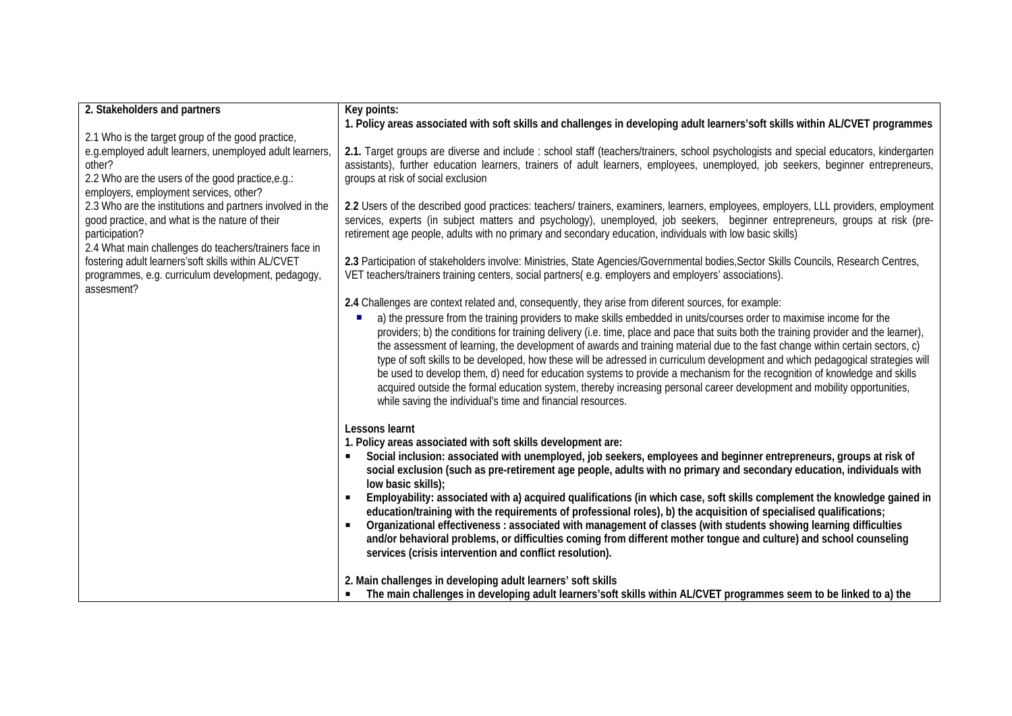| 2. Stakeholders and partners                                     | Key points:                                                                                                                                 |
|------------------------------------------------------------------|---------------------------------------------------------------------------------------------------------------------------------------------|
|                                                                  | 1. Policy areas associated with soft skills and challenges in developing adult learners'soft skills within AL/CVET programmes               |
| 2.1 Who is the target group of the good practice,                |                                                                                                                                             |
| e.g.employed adult learners, unemployed adult learners,          | 2.1. Target groups are diverse and include: school staff (teachers/trainers, school psychologists and special educators, kindergarten       |
| other?                                                           | assistants), further education learners, trainers of adult learners, employees, unemployed, job seekers, beginner entrepreneurs,            |
| 2.2 Who are the users of the good practice, e.g.:                | groups at risk of social exclusion                                                                                                          |
| employers, employment services, other?                           |                                                                                                                                             |
| 2.3 Who are the institutions and partners involved in the        | 2.2 Users of the described good practices: teachers/ trainers, examiners, learners, employees, employers, LLL providers, employment         |
| good practice, and what is the nature of their                   | services, experts (in subject matters and psychology), unemployed, job seekers, beginner entrepreneurs, groups at risk (pre-                |
| participation?                                                   | retirement age people, adults with no primary and secondary education, individuals with low basic skills)                                   |
| 2.4 What main challenges do teachers/trainers face in            |                                                                                                                                             |
| fostering adult learners'soft skills within AL/CVET              | 2.3 Participation of stakeholders involve: Ministries, State Agencies/Governmental bodies, Sector Skills Councils, Research Centres,        |
| programmes, e.g. curriculum development, pedagogy,<br>assesment? | VET teachers/trainers training centers, social partners(e.g. employers and employers' associations).                                        |
|                                                                  | 2.4 Challenges are context related and, consequently, they arise from diferent sources, for example:                                        |
|                                                                  | a) the pressure from the training providers to make skills embedded in units/courses order to maximise income for the                       |
|                                                                  | providers; b) the conditions for training delivery (i.e. time, place and pace that suits both the training provider and the learner),       |
|                                                                  | the assessment of learning, the development of awards and training material due to the fast change within certain sectors, c)               |
|                                                                  | type of soft skills to be developed, how these will be adressed in curriculum development and which pedagogical strategies will             |
|                                                                  | be used to develop them, d) need for education systems to provide a mechanism for the recognition of knowledge and skills                   |
|                                                                  | acquired outside the formal education system, thereby increasing personal career development and mobility opportunities,                    |
|                                                                  | while saving the individual's time and financial resources.                                                                                 |
|                                                                  |                                                                                                                                             |
|                                                                  | Lessons learnt                                                                                                                              |
|                                                                  | 1. Policy areas associated with soft skills development are:                                                                                |
|                                                                  | Social inclusion: associated with unemployed, job seekers, employees and beginner entrepreneurs, groups at risk of                          |
|                                                                  | social exclusion (such as pre-retirement age people, adults with no primary and secondary education, individuals with<br>low basic skills); |
|                                                                  | Employability: associated with a) acquired qualifications (in which case, soft skills complement the knowledge gained in                    |
|                                                                  | education/training with the requirements of professional roles), b) the acquisition of specialised qualifications;                          |
|                                                                  | Organizational effectiveness : associated with management of classes (with students showing learning difficulties                           |
|                                                                  | and/or behavioral problems, or difficulties coming from different mother tongue and culture) and school counseling                          |
|                                                                  | services (crisis intervention and conflict resolution).                                                                                     |
|                                                                  |                                                                                                                                             |
|                                                                  | 2. Main challenges in developing adult learners' soft skills                                                                                |
|                                                                  | The main challenges in developing adult learners' soft skills within AL/CVET programmes seem to be linked to a) the                         |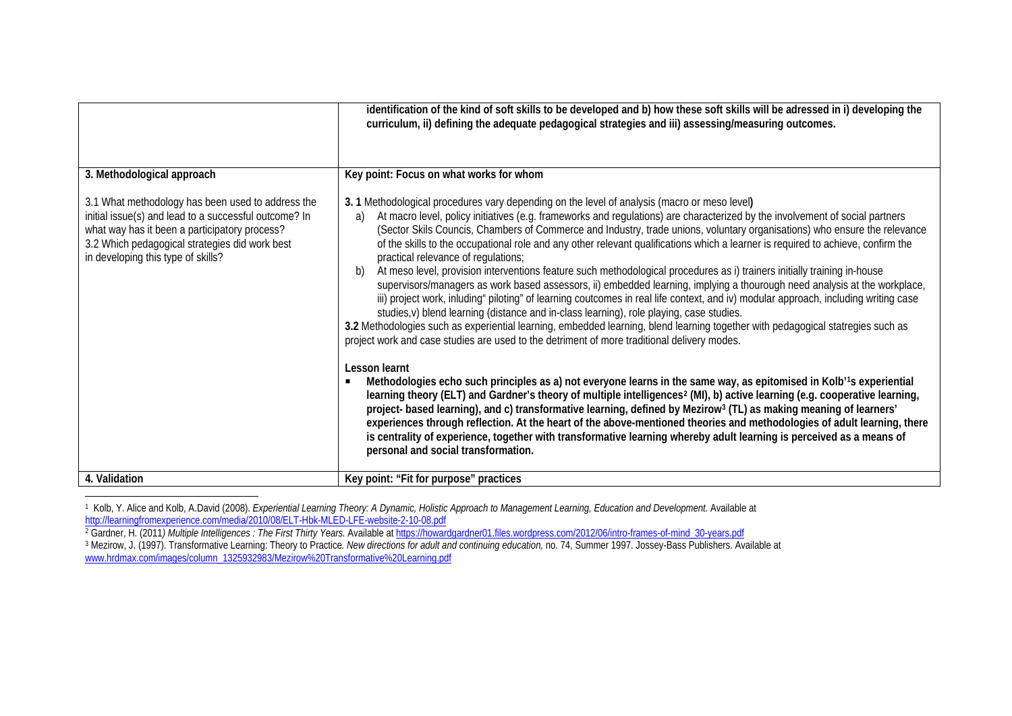<span id="page-2-2"></span><span id="page-2-1"></span><span id="page-2-0"></span>

|                                                                                                                                                                                                                                                     | identification of the kind of soft skills to be developed and b) how these soft skills will be adressed in i) developing the<br>curriculum, ii) defining the adequate pedagogical strategies and iii) assessing/measuring outcomes.                                                                                                                                                                                                                                                                                                                                                                                                                                                                                                                                                                                                                                                                                                                                                                                                                                                                                                                                                                                                                                                                                                                                                                                                                                                                                                                                                                                                                                                                                                                                                                                                                                                                                                                                                                           |
|-----------------------------------------------------------------------------------------------------------------------------------------------------------------------------------------------------------------------------------------------------|---------------------------------------------------------------------------------------------------------------------------------------------------------------------------------------------------------------------------------------------------------------------------------------------------------------------------------------------------------------------------------------------------------------------------------------------------------------------------------------------------------------------------------------------------------------------------------------------------------------------------------------------------------------------------------------------------------------------------------------------------------------------------------------------------------------------------------------------------------------------------------------------------------------------------------------------------------------------------------------------------------------------------------------------------------------------------------------------------------------------------------------------------------------------------------------------------------------------------------------------------------------------------------------------------------------------------------------------------------------------------------------------------------------------------------------------------------------------------------------------------------------------------------------------------------------------------------------------------------------------------------------------------------------------------------------------------------------------------------------------------------------------------------------------------------------------------------------------------------------------------------------------------------------------------------------------------------------------------------------------------------------|
| 3. Methodological approach                                                                                                                                                                                                                          | Key point: Focus on what works for whom                                                                                                                                                                                                                                                                                                                                                                                                                                                                                                                                                                                                                                                                                                                                                                                                                                                                                                                                                                                                                                                                                                                                                                                                                                                                                                                                                                                                                                                                                                                                                                                                                                                                                                                                                                                                                                                                                                                                                                       |
| 3.1 What methodology has been used to address the<br>initial issue(s) and lead to a successful outcome? In<br>what way has it been a participatory process?<br>3.2 Which pedagogical strategies did work best<br>in developing this type of skills? | 3. 1 Methodological procedures vary depending on the level of analysis (macro or meso level)<br>At macro level, policy initiatives (e.g. frameworks and regulations) are characterized by the involvement of social partners<br>a)<br>(Sector Skils Councis, Chambers of Commerce and Industry, trade unions, voluntary organisations) who ensure the relevance<br>of the skills to the occupational role and any other relevant qualifications which a learner is required to achieve, confirm the<br>practical relevance of regulations;<br>At meso level, provision interventions feature such methodological procedures as i) trainers initially training in-house<br>b)<br>supervisors/managers as work based assessors, ii) embedded learning, implying a thourough need analysis at the workplace,<br>iii) project work, inluding" piloting" of learning coutcomes in real life context, and iv) modular approach, including writing case<br>studies, v) blend learning (distance and in-class learning), role playing, case studies.<br>3.2 Methodologies such as experiential learning, embedded learning, blend learning together with pedagogical statregies such as<br>project work and case studies are used to the detriment of more traditional delivery modes.<br>Lesson learnt<br>Methodologies echo such principles as a) not everyone learns in the same way, as epitomised in Kolb'1s experiential<br>$\blacksquare$<br>learning theory (ELT) and Gardner's theory of multiple intelligences <sup>2</sup> (MI), b) active learning (e.g. cooperative learning,<br>project- based learning), and c) transformative learning, defined by Mezirow <sup>3</sup> (TL) as making meaning of learners'<br>experiences through reflection. At the heart of the above-mentioned theories and methodologies of adult learning, there<br>is centrality of experience, together with transformative learning whereby adult learning is perceived as a means of<br>personal and social transformation. |
| 4. Validation                                                                                                                                                                                                                                       | Key point: "Fit for purpose" practices                                                                                                                                                                                                                                                                                                                                                                                                                                                                                                                                                                                                                                                                                                                                                                                                                                                                                                                                                                                                                                                                                                                                                                                                                                                                                                                                                                                                                                                                                                                                                                                                                                                                                                                                                                                                                                                                                                                                                                        |

<sup>-</sup><sup>1</sup> Kolb, Y. Alice and Kolb, A.David (2008). *Experiential Learning Theory: A Dynamic, Holistic Approach to Management Learning, Education and Development. Available at* <http://learningfromexperience.com/media/2010/08/ELT-Hbk-MLED-LFE-website-2-10-08.pdf>

<sup>2</sup> Gardner, H. (2011*) Multiple Intelligences : The First Thirty Years.* Available a[t https://howardgardner01.files.wordpress.com/2012/06/intro-frames-of-mind\\_30-years.pdf](https://howardgardner01.files.wordpress.com/2012/06/intro-frames-of-mind_30-years.pdf)

<sup>3</sup> Mezirow, J. (1997). Transformative Learning: Theory to Practice*. New directions for adult and continuing education,* no. 74, Summer 1997. Jossey-Bass Publishers. Available at [www.hrdmax.com/images/column\\_1325932983/Mezirow%20Transformative%20Learning.pdf](http://www.hrdmax.com/images/column_1325932983/Mezirow%20Transformative%20Learning.pdf)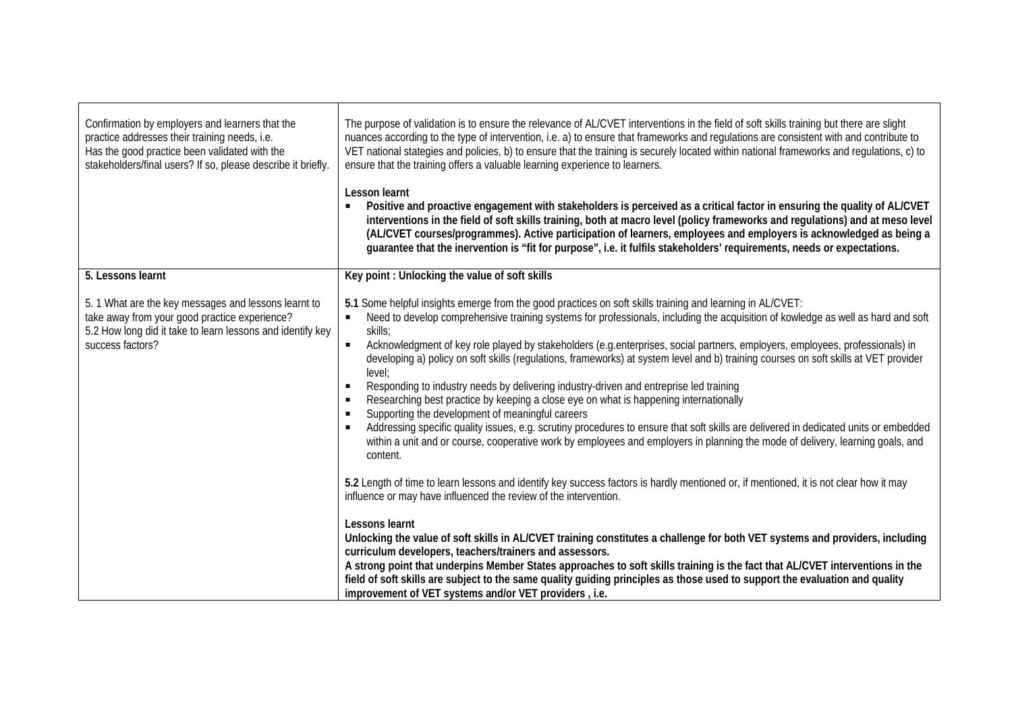| Confirmation by employers and learners that the<br>practice addresses their training needs, i.e.<br>Has the good practice been validated with the<br>stakeholders/final users? If so, please describe it briefly. | The purpose of validation is to ensure the relevance of AL/CVET interventions in the field of soft skills training but there are slight<br>nuances according to the type of intervention, i.e. a) to ensure that frameworks and regulations are consistent with and contribute to<br>VET national stategies and policies, b) to ensure that the training is securely located within national frameworks and regulations, c) to<br>ensure that the training offers a valuable learning experience to learners.<br>Lesson learnt<br>Positive and proactive engagement with stakeholders is perceived as a critical factor in ensuring the quality of AL/CVET<br>interventions in the field of soft skills training, both at macro level (policy frameworks and regulations) and at meso level<br>(AL/CVET courses/programmes). Active participation of learners, employees and employers is acknowledged as being a<br>guarantee that the inervention is "fit for purpose", i.e. it fulfils stakeholders' requirements, needs or expectations.                                                                                                                                                                                                 |
|-------------------------------------------------------------------------------------------------------------------------------------------------------------------------------------------------------------------|----------------------------------------------------------------------------------------------------------------------------------------------------------------------------------------------------------------------------------------------------------------------------------------------------------------------------------------------------------------------------------------------------------------------------------------------------------------------------------------------------------------------------------------------------------------------------------------------------------------------------------------------------------------------------------------------------------------------------------------------------------------------------------------------------------------------------------------------------------------------------------------------------------------------------------------------------------------------------------------------------------------------------------------------------------------------------------------------------------------------------------------------------------------------------------------------------------------------------------------------|
| 5. Lessons learnt                                                                                                                                                                                                 | Key point: Unlocking the value of soft skills                                                                                                                                                                                                                                                                                                                                                                                                                                                                                                                                                                                                                                                                                                                                                                                                                                                                                                                                                                                                                                                                                                                                                                                                |
| 5. 1 What are the key messages and lessons learnt to<br>take away from your good practice experience?<br>5.2 How long did it take to learn lessons and identify key<br>success factors?                           | 5.1 Some helpful insights emerge from the good practices on soft skills training and learning in AL/CVET:<br>Need to develop comprehensive training systems for professionals, including the acquisition of kowledge as well as hard and soft<br>skills:<br>Acknowledgment of key role played by stakeholders (e.g.enterprises, social partners, employers, employees, professionals) in<br>developing a) policy on soft skills (regulations, frameworks) at system level and b) training courses on soft skills at VET provider<br>level;<br>Responding to industry needs by delivering industry-driven and entreprise led training<br>Researching best practice by keeping a close eye on what is happening internationally<br>$\blacksquare$<br>Supporting the development of meaningful careers<br>л<br>Addressing specific quality issues, e.g. scrutiny procedures to ensure that soft skills are delivered in dedicated units or embedded<br>л<br>within a unit and or course, cooperative work by employees and employers in planning the mode of delivery, learning goals, and<br>content.<br>5.2 Length of time to learn lessons and identify key success factors is hardly mentioned or, if mentioned, it is not clear how it may |
|                                                                                                                                                                                                                   | influence or may have influenced the review of the intervention.                                                                                                                                                                                                                                                                                                                                                                                                                                                                                                                                                                                                                                                                                                                                                                                                                                                                                                                                                                                                                                                                                                                                                                             |
|                                                                                                                                                                                                                   | Lessons learnt<br>Unlocking the value of soft skills in AL/CVET training constitutes a challenge for both VET systems and providers, including<br>curriculum developers, teachers/trainers and assessors.                                                                                                                                                                                                                                                                                                                                                                                                                                                                                                                                                                                                                                                                                                                                                                                                                                                                                                                                                                                                                                    |
|                                                                                                                                                                                                                   | A strong point that underpins Member States approaches to soft skills training is the fact that AL/CVET interventions in the<br>field of soft skills are subject to the same quality guiding principles as those used to support the evaluation and quality<br>improvement of VET systems and/or VET providers, i.e.                                                                                                                                                                                                                                                                                                                                                                                                                                                                                                                                                                                                                                                                                                                                                                                                                                                                                                                         |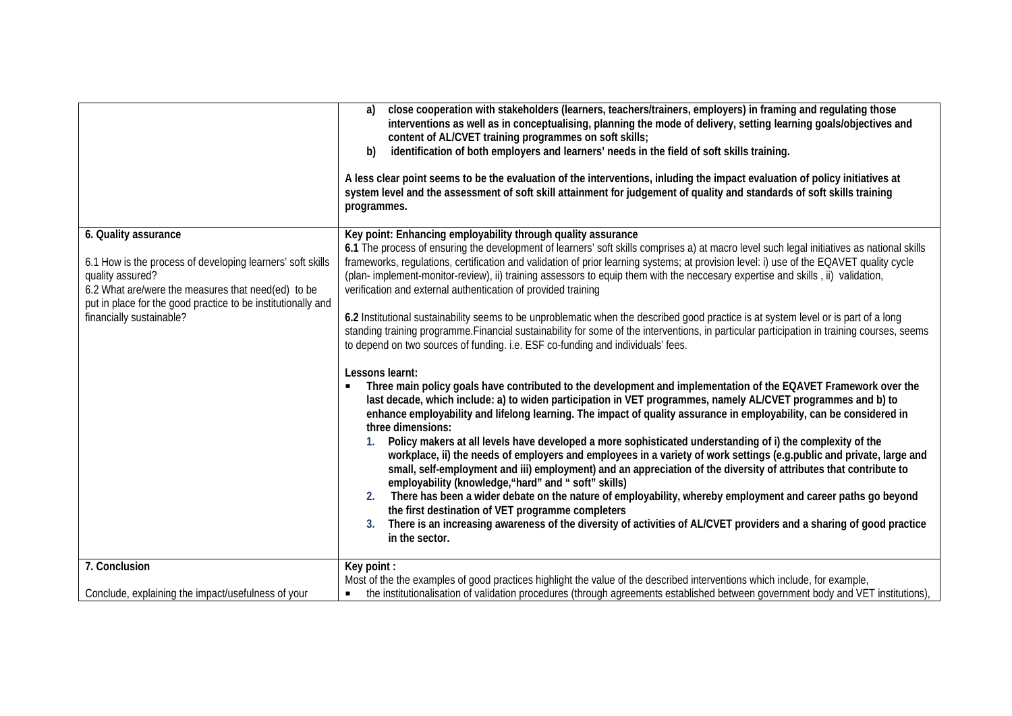|                                                                                                                                                                                                                                                          | close cooperation with stakeholders (learners, teachers/trainers, employers) in framing and regulating those<br>a)<br>interventions as well as in conceptualising, planning the mode of delivery, setting learning goals/objectives and<br>content of AL/CVET training programmes on soft skills;<br>identification of both employers and learners' needs in the field of soft skills training.<br>b)<br>A less clear point seems to be the evaluation of the interventions, inluding the impact evaluation of policy initiatives at<br>system level and the assessment of soft skill attainment for judgement of quality and standards of soft skills training<br>programmes.                                                                                                                                                                                                                                                                                                                                                                                                                                                                                                                                                                                                                                                                                                                                                                                                                                                                                                                                                                                                                                                                                                                                                                                                                                                                                                                                                                                                  |
|----------------------------------------------------------------------------------------------------------------------------------------------------------------------------------------------------------------------------------------------------------|---------------------------------------------------------------------------------------------------------------------------------------------------------------------------------------------------------------------------------------------------------------------------------------------------------------------------------------------------------------------------------------------------------------------------------------------------------------------------------------------------------------------------------------------------------------------------------------------------------------------------------------------------------------------------------------------------------------------------------------------------------------------------------------------------------------------------------------------------------------------------------------------------------------------------------------------------------------------------------------------------------------------------------------------------------------------------------------------------------------------------------------------------------------------------------------------------------------------------------------------------------------------------------------------------------------------------------------------------------------------------------------------------------------------------------------------------------------------------------------------------------------------------------------------------------------------------------------------------------------------------------------------------------------------------------------------------------------------------------------------------------------------------------------------------------------------------------------------------------------------------------------------------------------------------------------------------------------------------------------------------------------------------------------------------------------------------------|
| 6. Quality assurance<br>6.1 How is the process of developing learners' soft skills<br>quality assured?<br>6.2 What are/were the measures that need(ed) to be<br>put in place for the good practice to be institutionally and<br>financially sustainable? | Key point: Enhancing employability through quality assurance<br>6.1 The process of ensuring the development of learners' soft skills comprises a) at macro level such legal initiatives as national skills<br>frameworks, regulations, certification and validation of prior learning systems; at provision level: i) use of the EQAVET quality cycle<br>(plan- implement-monitor-review), ii) training assessors to equip them with the neccesary expertise and skills, ii) validation,<br>verification and external authentication of provided training<br>6.2 Institutional sustainability seems to be unproblematic when the described good practice is at system level or is part of a long<br>standing training programme. Financial sustainability for some of the interventions, in particular participation in training courses, seems<br>to depend on two sources of funding. i.e. ESF co-funding and individuals' fees.<br>Lessons learnt:<br>Three main policy goals have contributed to the development and implementation of the EQAVET Framework over the<br>last decade, which include: a) to widen participation in VET programmes, namely AL/CVET programmes and b) to<br>enhance employability and lifelong learning. The impact of quality assurance in employability, can be considered in<br>three dimensions:<br>Policy makers at all levels have developed a more sophisticated understanding of i) the complexity of the<br>workplace, ii) the needs of employers and employees in a variety of work settings (e.g.public and private, large and<br>small, self-employment and iii) employment) and an appreciation of the diversity of attributes that contribute to<br>employability (knowledge, "hard" and " soft" skills)<br>There has been a wider debate on the nature of employability, whereby employment and career paths go beyond<br>2.<br>the first destination of VET programme completers<br>There is an increasing awareness of the diversity of activities of AL/CVET providers and a sharing of good practice<br>3.<br>in the sector. |
| 7. Conclusion                                                                                                                                                                                                                                            | Key point:                                                                                                                                                                                                                                                                                                                                                                                                                                                                                                                                                                                                                                                                                                                                                                                                                                                                                                                                                                                                                                                                                                                                                                                                                                                                                                                                                                                                                                                                                                                                                                                                                                                                                                                                                                                                                                                                                                                                                                                                                                                                      |
| Conclude, explaining the impact/usefulness of your                                                                                                                                                                                                       | Most of the the examples of good practices highlight the value of the described interventions which include, for example,<br>the institutionalisation of validation procedures (through agreements established between government body and VET institutions),<br>$\blacksquare$                                                                                                                                                                                                                                                                                                                                                                                                                                                                                                                                                                                                                                                                                                                                                                                                                                                                                                                                                                                                                                                                                                                                                                                                                                                                                                                                                                                                                                                                                                                                                                                                                                                                                                                                                                                                 |